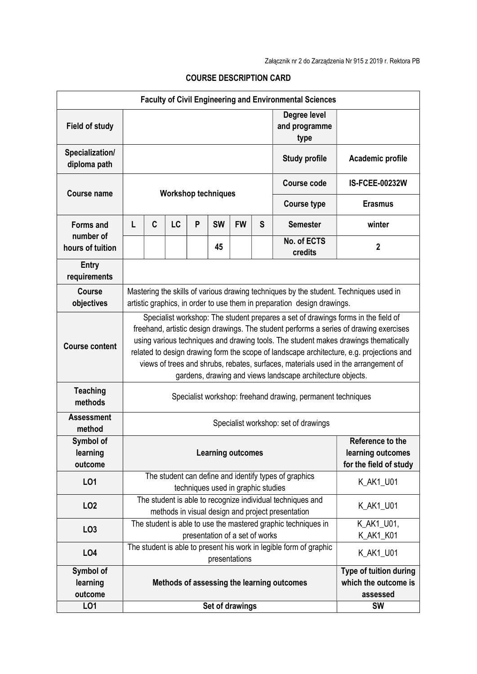| <b>Faculty of Civil Engineering and Environmental Sciences</b> |                                                                                                                                                                                                                                                                                                                                                                                                                                                                                                                    |   |                                                                                                          |   |           |                                             |                                                            |                                       |                       |
|----------------------------------------------------------------|--------------------------------------------------------------------------------------------------------------------------------------------------------------------------------------------------------------------------------------------------------------------------------------------------------------------------------------------------------------------------------------------------------------------------------------------------------------------------------------------------------------------|---|----------------------------------------------------------------------------------------------------------|---|-----------|---------------------------------------------|------------------------------------------------------------|---------------------------------------|-----------------------|
| <b>Field of study</b>                                          |                                                                                                                                                                                                                                                                                                                                                                                                                                                                                                                    |   |                                                                                                          |   |           |                                             |                                                            | Degree level<br>and programme<br>type |                       |
| Specialization/<br>diploma path                                |                                                                                                                                                                                                                                                                                                                                                                                                                                                                                                                    |   |                                                                                                          |   |           |                                             |                                                            | <b>Study profile</b>                  | Academic profile      |
| Course name                                                    | <b>Workshop techniques</b>                                                                                                                                                                                                                                                                                                                                                                                                                                                                                         |   |                                                                                                          |   |           |                                             |                                                            | <b>Course code</b>                    | <b>IS-FCEE-00232W</b> |
|                                                                |                                                                                                                                                                                                                                                                                                                                                                                                                                                                                                                    |   |                                                                                                          |   |           |                                             |                                                            | <b>Course type</b>                    | <b>Erasmus</b>        |
| <b>Forms and</b>                                               | L                                                                                                                                                                                                                                                                                                                                                                                                                                                                                                                  | C | LC                                                                                                       | P | <b>SW</b> | <b>FW</b>                                   | S                                                          | <b>Semester</b>                       | winter                |
| number of<br>hours of tuition                                  |                                                                                                                                                                                                                                                                                                                                                                                                                                                                                                                    |   |                                                                                                          |   | 45        |                                             |                                                            | No. of ECTS<br>credits                | $\overline{2}$        |
| <b>Entry</b><br>requirements                                   |                                                                                                                                                                                                                                                                                                                                                                                                                                                                                                                    |   |                                                                                                          |   |           |                                             |                                                            |                                       |                       |
| <b>Course</b><br>objectives                                    | Mastering the skills of various drawing techniques by the student. Techniques used in<br>artistic graphics, in order to use them in preparation design drawings.                                                                                                                                                                                                                                                                                                                                                   |   |                                                                                                          |   |           |                                             |                                                            |                                       |                       |
| <b>Course content</b>                                          | Specialist workshop: The student prepares a set of drawings forms in the field of<br>freehand, artistic design drawings. The student performs a series of drawing exercises<br>using various techniques and drawing tools. The student makes drawings thematically<br>related to design drawing form the scope of landscape architecture, e.g. projections and<br>views of trees and shrubs, rebates, surfaces, materials used in the arrangement of<br>gardens, drawing and views landscape architecture objects. |   |                                                                                                          |   |           |                                             |                                                            |                                       |                       |
| <b>Teaching</b><br>methods                                     | Specialist workshop: freehand drawing, permanent techniques                                                                                                                                                                                                                                                                                                                                                                                                                                                        |   |                                                                                                          |   |           |                                             |                                                            |                                       |                       |
| <b>Assessment</b><br>method                                    | Specialist workshop: set of drawings                                                                                                                                                                                                                                                                                                                                                                                                                                                                               |   |                                                                                                          |   |           |                                             |                                                            |                                       |                       |
| Symbol of<br>learning<br>outcome                               | Reference to the<br><b>Learning outcomes</b>                                                                                                                                                                                                                                                                                                                                                                                                                                                                       |   |                                                                                                          |   |           | learning outcomes<br>for the field of study |                                                            |                                       |                       |
| LO1                                                            |                                                                                                                                                                                                                                                                                                                                                                                                                                                                                                                    |   | The student can define and identify types of graphics<br>K AK1 U01<br>techniques used in graphic studies |   |           |                                             |                                                            |                                       |                       |
| LO <sub>2</sub>                                                | The student is able to recognize individual techniques and<br>methods in visual design and project presentation                                                                                                                                                                                                                                                                                                                                                                                                    |   |                                                                                                          |   |           |                                             |                                                            | K_AK1_U01                             |                       |
| LO <sub>3</sub>                                                | The student is able to use the mastered graphic techniques in<br>presentation of a set of works                                                                                                                                                                                                                                                                                                                                                                                                                    |   |                                                                                                          |   |           |                                             | K_AK1_U01,<br>K_AK1_K01                                    |                                       |                       |
| LO4                                                            | The student is able to present his work in legible form of graphic<br>K_AK1_U01<br>presentations                                                                                                                                                                                                                                                                                                                                                                                                                   |   |                                                                                                          |   |           |                                             |                                                            |                                       |                       |
| Symbol of<br>learning<br>outcome                               | Methods of assessing the learning outcomes                                                                                                                                                                                                                                                                                                                                                                                                                                                                         |   |                                                                                                          |   |           |                                             | Type of tuition during<br>which the outcome is<br>assessed |                                       |                       |
| LO1                                                            |                                                                                                                                                                                                                                                                                                                                                                                                                                                                                                                    |   |                                                                                                          |   |           | Set of drawings                             |                                                            |                                       | <b>SW</b>             |

## COURSE DESCRIPTION CARD